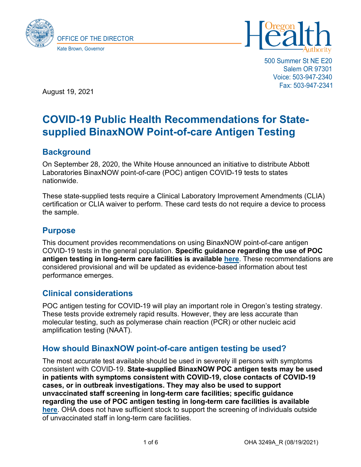



500 Summer St NE E20 Salem OR 97301 Voice: 503-947-2340 Fax: 503-947-2341

August 19, 2021

# **COVID-19 Public Health Recommendations for Statesupplied BinaxNOW Point-of-care Antigen Testing**

# **Background**

On September 28, 2020, the White House announced an initiative to distribute Abbott Laboratories BinaxNOW point-of-care (POC) antigen COVID-19 tests to states nationwide.

These state-supplied tests require a Clinical Laboratory Improvement Amendments (CLIA) certification or CLIA waiver to perform. These card tests do not require a device to process the sample.

# **Purpose**

This document provides recommendations on using BinaxNOW point-of-care antigen COVID-19 tests in the general population. **Specific guidance regarding the use of POC antigen testing in long-term care facilities is available [here](https://sharedsystems.dhsoha.state.or.us/DHSForms/Served/le3249_R.pdf)**. These recommendations are considered provisional and will be updated as evidence-based information about test performance emerges.

### **Clinical considerations**

POC antigen testing for COVID-19 will play an important role in Oregon's testing strategy. These tests provide extremely rapid results. However, they are less accurate than molecular testing, such as polymerase chain reaction (PCR) or other nucleic acid amplification testing (NAAT).

### **How should BinaxNOW point-of-care antigen testing be used?**

The most accurate test available should be used in severely ill persons with symptoms consistent with COVID-19. **State-supplied BinaxNOW POC antigen tests may be used in patients with symptoms consistent with COVID-19, close contacts of COVID-19 cases, or in outbreak investigations. They may also be used to support unvaccinated staff screening in long-term care facilities; specific guidance regarding the use of POC antigen testing in long-term care facilities is available [here](https://sharedsystems.dhsoha.state.or.us/DHSForms/Served/le3249_R.pdf)**. OHA does not have sufficient stock to support the screening of individuals outside of unvaccinated staff in long-term care facilities.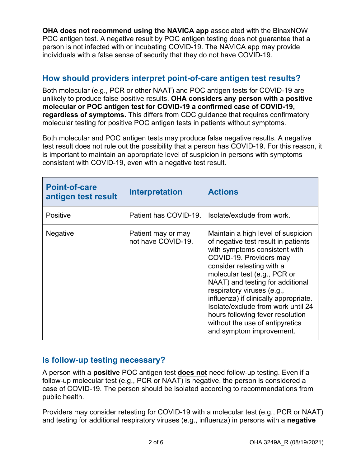**OHA does not recommend using the NAVICA app** associated with the BinaxNOW POC antigen test. A negative result by POC antigen testing does not guarantee that a person is not infected with or incubating COVID-19. The NAVICA app may provide individuals with a false sense of security that they do not have COVID-19.

### **How should providers interpret point-of-care antigen test results?**

Both molecular (e.g., PCR or other NAAT) and POC antigen tests for COVID-19 are unlikely to produce false positive results. **OHA considers any person with a positive molecular or POC antigen test for COVID-19 a confirmed case of COVID-19, regardless of symptoms.** This differs from CDC guidance that requires confirmatory molecular testing for positive POC antigen tests in patients without symptoms.

Both molecular and POC antigen tests may produce false negative results. A negative test result does not rule out the possibility that a person has COVID-19. For this reason, it is important to maintain an appropriate level of suspicion in persons with symptoms consistent with COVID-19, even with a negative test result.

| <b>Point-of-care</b><br>antigen test result | <b>Interpretation</b>                    | <b>Actions</b>                                                                                                                                                                                                                                                                                                                                                                                                                                         |
|---------------------------------------------|------------------------------------------|--------------------------------------------------------------------------------------------------------------------------------------------------------------------------------------------------------------------------------------------------------------------------------------------------------------------------------------------------------------------------------------------------------------------------------------------------------|
| <b>Positive</b>                             | Patient has COVID-19.                    | Isolate/exclude from work.                                                                                                                                                                                                                                                                                                                                                                                                                             |
| <b>Negative</b>                             | Patient may or may<br>not have COVID-19. | Maintain a high level of suspicion<br>of negative test result in patients<br>with symptoms consistent with<br>COVID-19. Providers may<br>consider retesting with a<br>molecular test (e.g., PCR or<br>NAAT) and testing for additional<br>respiratory viruses (e.g.,<br>influenza) if clinically appropriate.<br>Isolate/exclude from work until 24<br>hours following fever resolution<br>without the use of antipyretics<br>and symptom improvement. |

### **Is follow-up testing necessary?**

A person with a **positive** POC antigen test **does not** need follow-up testing. Even if a follow-up molecular test (e.g., PCR or NAAT) is negative, the person is considered a case of COVID-19. The person should be isolated according to recommendations from public health.

Providers may consider retesting for COVID-19 with a molecular test (e.g., PCR or NAAT) and testing for additional respiratory viruses (e.g., influenza) in persons with a **negative**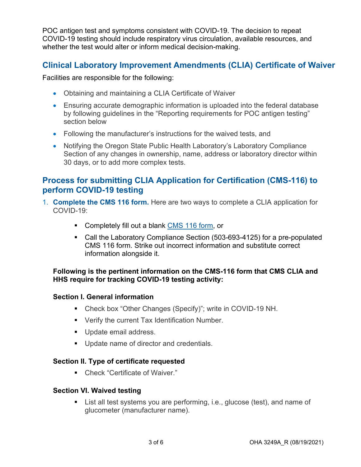POC antigen test and symptoms consistent with COVID-19. The decision to repeat COVID-19 testing should include respiratory virus circulation, available resources, and whether the test would alter or inform medical decision-making.

### **Clinical Laboratory Improvement Amendments (CLIA) Certificate of Waiver**

Facilities are responsible for the following:

- Obtaining and maintaining a CLIA Certificate of Waiver
- Ensuring accurate demographic information is uploaded into the federal database by following guidelines in the "Reporting requirements for POC antigen testing" section below
- Following the manufacturer's instructions for the waived tests, and
- Notifying the Oregon State Public Health Laboratory's Laboratory Compliance Section of any changes in ownership, name, address or laboratory director within 30 days, or to add more complex tests.

### **Process for submitting CLIA Application for Certification (CMS-116) to perform COVID-19 testing**

- 1. **Complete the CMS 116 form.** Here are two ways to complete a CLIA application for COVID-19:
	- Completely fill out a blank [CMS 116 form,](https://www.cms.gov/Medicare/CMS-Forms/CMS-Forms/CMS-Forms-Items/CMS012169) or
	- Call the Laboratory Compliance Section (503-693-4125) for a pre-populated CMS 116 form. Strike out incorrect information and substitute correct information alongside it.

#### **Following is the pertinent information on the CMS-116 form that CMS CLIA and HHS require for tracking COVID-19 testing activity:**

#### **Section I. General information**

- Check box "Other Changes (Specify)"; write in COVID-19 NH.
- **Verify the current Tax Identification Number.**
- Update email address.
- **Update name of director and credentials.**

#### **Section II. Type of certificate requested**

■ Check "Certificate of Waiver."

#### **Section VI. Waived testing**

**List all test systems you are performing, i.e., glucose (test), and name of** glucometer (manufacturer name).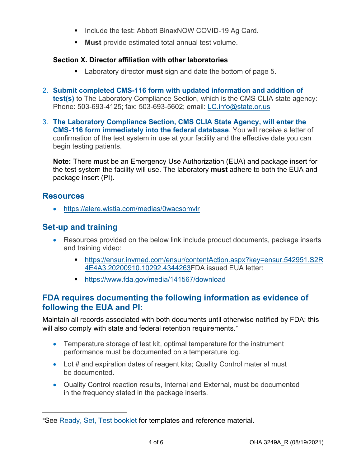- Include the test: Abbott BinaxNOW COVID-19 Ag Card.
- **Must** provide estimated total annual test volume.

### **Section X. Director affiliation with other laboratories**

- Laboratory director **must** sign and date the bottom of page 5.
- 2. **Submit completed CMS-116 form with updated information and addition of test(s)** to The Laboratory Compliance Section, which is the CMS CLIA state agency: Phone: 503-693-4125; fax: 503-693-5602; email: [LC.info@state.or.us](mailto:LC.info@state.or.us)
- 3. **The Laboratory Compliance Section, CMS CLIA State Agency, will enter the CMS-116 form immediately into the federal database**. You will receive a letter of confirmation of the test system in use at your facility and the effective date you can begin testing patients.

**Note:** There must be an Emergency Use Authorization (EUA) and package insert for the test system the facility will use. The laboratory **must** adhere to both the EUA and package insert (PI).

### **Resources**

• <https://alere.wistia.com/medias/0wacsomvlr>

# **Set-up and training**

- Resources provided on the below link include product documents, package inserts and training video:
	- [https://ensur.invmed.com/ensur/contentAction.aspx?key=ensur.542951.S2R](https://ensur.invmed.com/ensur/contentAction.aspx?key=ensur.542951.S2R4E4A3.20200910.10292.4344263) [4E4A3.20200910.10292.4344263F](https://ensur.invmed.com/ensur/contentAction.aspx?key=ensur.542951.S2R4E4A3.20200910.10292.4344263)DA issued EUA letter:
	- <https://www.fda.gov/media/141567/download>

### **FDA requires documenting the following information as evidence of following the EUA and PI:**

Maintain all records associated with both documents until otherwise notified by FDA; this will also comply with state and federal retention requirements.<sup>\*</sup>

- Temperature storage of test kit, optimal temperature for the instrument performance must be documented on a temperature log.
- Lot # and expiration dates of reagent kits; Quality Control material must be documented.
- Quality Control reaction results, Internal and External, must be documented in the frequency stated in the package inserts.

<span id="page-3-0"></span><sup>\*</sup>See [Ready, Set, Test booklet](https://www.cdc.gov/clia/docs/waived-tests/ready-set-test-booklet.pdf) for templates and reference material.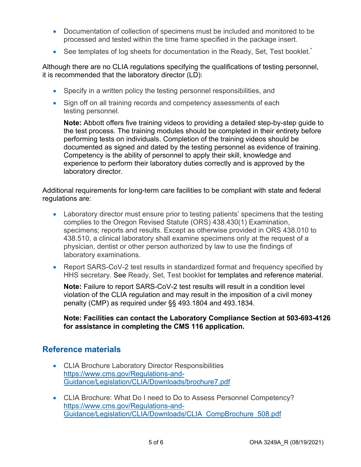- Documentation of collection of specimens must be included and monitored to be processed and tested within the time frame specified in the package insert.
- See templates of log sheets for documentation in the Ready, Set, Test booklet.<sup>\*</sup>

Although there are no CLIA regulations specifying the qualifications of testing personnel, it is recommended that the laboratory director (LD):

- Specify in a written policy the testing personnel responsibilities, and
- Sign off on all training records and competency assessments of each testing personnel.

**Note:** Abbott offers five training videos to providing a detailed step-by-step guide to the test process. The training modules should be completed in their entirety before performing tests on individuals. Completion of the training videos should be documented as signed and dated by the testing personnel as evidence of training. Competency is the ability of personnel to apply their skill, knowledge and experience to perform their laboratory duties correctly and is approved by the laboratory director.

Additional requirements for long-term care facilities to be compliant with state and federal regulations are:

- Laboratory director must ensure prior to testing patients' specimens that the testing complies to the Oregon Revised Statute (ORS) 438.430(1) Examination, specimens; reports and results. Except as otherwise provided in ORS 438.010 to 438.510, a clinical laboratory shall examine specimens only at the request of a physician, dentist or other person authorized by law to use the findings of laboratory examinations.
- Report SARS-CoV-2 test results in standardized format and frequency specified by HHS secretary. See Ready, Set, Test booklet for templates and reference material.

**Note:** Failure to report SARS-CoV-2 test results will result in a condition level violation of the CLIA regulation and may result in the imposition of a civil money penalty (CMP) as required under §§ 493.1804 and 493.1834.

#### **Note: Facilities can contact the Laboratory Compliance Section at 503-693-4126 for assistance in completing the CMS 116 application.**

### **Reference materials**

- CLIA Brochure Laboratory Director Responsibilities [https://www.cms.gov/Regulations-and-](https://www.cms.gov/Regulations-and-Guidance/Legislation/CLIA/Downloads/brochure7.pdf)[Guidance/Legislation/CLIA/Downloads/brochure7.pdf](https://www.cms.gov/Regulations-and-Guidance/Legislation/CLIA/Downloads/brochure7.pdf)
- CLIA Brochure: What Do I need to Do to Assess Personnel Competency? [https://www.cms.gov/Regulations-and-](https://www.cms.gov/Regulations-and-Guidance/Legislation/CLIA/Downloads/CLIA_CompBrochure_508.pdf)[Guidance/Legislation/CLIA/Downloads/CLIA\\_CompBrochure\\_508.pdf](https://www.cms.gov/Regulations-and-Guidance/Legislation/CLIA/Downloads/CLIA_CompBrochure_508.pdf)